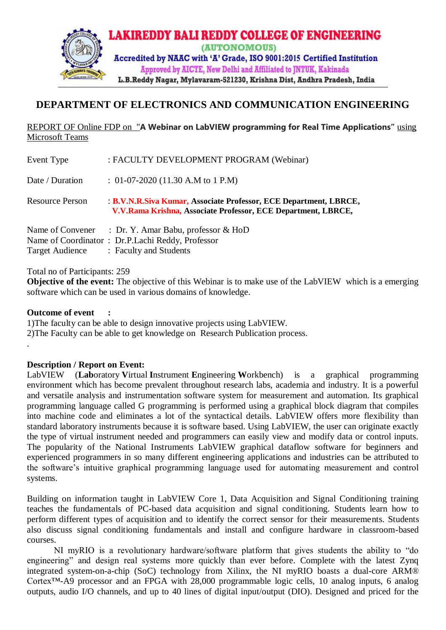

## **DEPARTMENT OF ELECTRONICS AND COMMUNICATION ENGINEERING**

## REPORT OF Online FDP on "**A Webinar on LabVIEW programming for Real Time Applications"** using Microsoft Teams

| Event Type             | : FACULTY DEVELOPMENT PROGRAM (Webinar)                                                                                            |
|------------------------|------------------------------------------------------------------------------------------------------------------------------------|
| Date / Duration        | : $01-07-2020$ (11.30 A.M to 1 P.M)                                                                                                |
| <b>Resource Person</b> | : B.V.N.R.Siva Kumar, Associate Professor, ECE Department, LBRCE,<br>V.V.Rama Krishna, Associate Professor, ECE Department, LBRCE, |
|                        | Name of Convener : Dr. Y. Amar Babu, professor & HoD                                                                               |
|                        | Name of Coordinator: Dr.P.Lachi Reddy, Professor                                                                                   |
|                        | Target Audience : Faculty and Students                                                                                             |

Total no of Participants: 259

**Objective of the event:** The objective of this Webinar is to make use of the LabVIEW which is a emerging software which can be used in various domains of knowledge.

**Outcome of event :**

.

1)The faculty can be able to design innovative projects using LabVIEW. 2)The Faculty can be able to get knowledge on Research Publication process.

**Description / Report on Event:** 

LabVIEW (**Lab**oratory **V**irtual **I**nstrument **E**ngineering **W**orkbench) is a graphical programming environment which has become prevalent throughout research labs, academia and industry. It is a powerful and versatile analysis and instrumentation software system for measurement and automation. Its graphical programming language called G programming is performed using a graphical block diagram that compiles into machine code and eliminates a lot of the syntactical details. LabVIEW offers more flexibility than standard laboratory instruments because it is software based. Using LabVIEW, the user can originate exactly the type of virtual instrument needed and programmers can easily view and modify data or control inputs. The popularity of the National Instruments LabVIEW graphical dataflow software for beginners and experienced programmers in so many different engineering applications and industries can be attributed to the software's intuitive graphical programming language used for automating measurement and control systems.

Building on information taught in LabVIEW Core 1, Data Acquisition and Signal Conditioning training teaches the fundamentals of PC-based data acquisition and signal conditioning. Students learn how to perform different types of acquisition and to identify the correct sensor for their measurements. Students also discuss signal conditioning fundamentals and install and configure hardware in classroom-based courses.

NI myRIO is a revolutionary hardware/software platform that gives students the ability to "do engineering" and design real systems more quickly than ever before. Complete with the latest Zynq integrated system-on-a-chip (SoC) technology from Xilinx, the NI myRIO boasts a dual-core ARM® Cortex™-A9 processor and an FPGA with 28,000 programmable logic cells, 10 analog inputs, 6 analog outputs, audio I/O channels, and up to 40 lines of digital input/output (DIO). Designed and priced for the